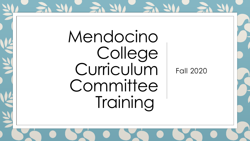Mendocino College Curriculum Committee Training

Fall 2020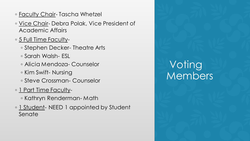- Faculty Chair- Tascha Whetzel
- Vice Chair- Debra Polak, Vice President of Academic Affairs
- ∘ <u>5 Full Time Faculty</u>-
	- Stephen Decker- Theatre Arts
	- Sarah Walsh- ESL
	- Alicia Mendoza- Counselor
	- Kim Swift- Nursing
	- Steve Crossman- Counselor
- 1 Part Time Faculty-
	- Kathryn Renderman- Math
- 1 Student- NEED 1 appointed by Student Senate

## **Voting** Members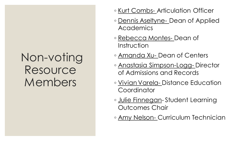## Non-voting Resource Members

- Kurt Combs- Articulation Officer
- Dennis Aseltyne- Dean of Applied **Academics**
- Rebecca Montes- Dean of Instruction
- Amanda Xu- Dean of Centers
- Anastasia Simpson-Logg- Director of Admissions and Records
- Vivian Varela- Distance Education **Coordinator**
- Julie Finnegan- Student Learning Outcomes Chair
- Amy Nelson- Curriculum Technician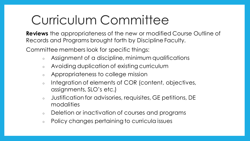## Curriculum Committee

**Reviews** the appropriateness of the new or modified Course Outline of Records and Programs brought forth by Discipline Faculty.

Committee members look for specific things:

- $\circ$  Assignment of a discipline, minimum qualifications
- Avoiding duplication of existing curriculum
- Appropriateness to college mission
- Integration of elements of COR (content, objectives, assignments, SLO's etc.)
- o Justification for advisories, requisites, GE petitions, DE modalities
- $\circ$  Deletion or inactivation of courses and programs
- Policy changes pertaining to curricula issues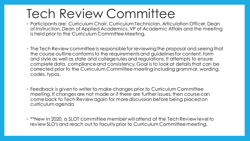## Tech Review Committee

- Participants are: Curriculum Chair, Curriculum Technician, Articulation Officer, Dean of Instruction, Dean of Applied Academics, VP of Academic Affairs and the meeting is held prior to the Curriculum Committee Meeting.
- The Tech Review committee is responsible for reviewing the proposal and seeing that the course outline conforms to the requirements and guidelines for content, form and style as well as state and college rules and regulations. It attempts to ensure complete data, compliance and consistency. Goal is to look at details that can be corrected prior to the Curriculum Committee meeting including grammar, wording, codes, typos.
- Feedback is given to writer to make changes prior to Curriculum Committee meeting. If changes are not made or if there are further issues, then course can come back to Tech Review again for more discussion before being placed on curriculum agenda
- \*\*New in 2020, a SLOT committee member will attend at the Tech Review level to review SLO's and reach out to faculty prior to Curriculum Committee meeting.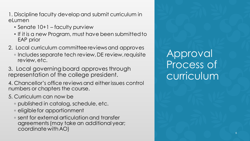1. Discipline faculty develop and submit curriculum in eLumen

- Senate 10+1 faculty purview
- If it is a new Program, must have been submitted to EAP prior
- 2. Local curriculum committee reviews and approves
	- Includes separate tech review, DE review, requisite review, etc.
- 3. Local governing board approves through representation of the college president.
- 4. Chancellor's office reviews and either issues control numbers or chapters the course.
- 5. Curriculum can now be
	- published in catalog, schedule, etc.
	- eligible for apportionment
	- sent for external articulation and transfer agreements (may take an additional year; coordinate withAO)

Approval Process of curriculum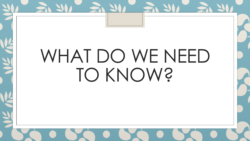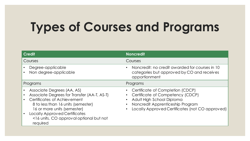# **Types of Courses and Programs**

| <b>Credit</b>                                                                                                                                                                                                                                                                | <b>Noncredit</b>                                                                                                                                                                         |
|------------------------------------------------------------------------------------------------------------------------------------------------------------------------------------------------------------------------------------------------------------------------------|------------------------------------------------------------------------------------------------------------------------------------------------------------------------------------------|
| Courses                                                                                                                                                                                                                                                                      | Courses                                                                                                                                                                                  |
| Degree-applicable<br>Non degree-applicable                                                                                                                                                                                                                                   | Noncredit: no credit awarded for courses in 10<br>categories but approved by CO and receives<br>apportionment                                                                            |
| Programs                                                                                                                                                                                                                                                                     | Programs                                                                                                                                                                                 |
| Associate Degrees (AA, AS)<br>Associate Degrees for Transfer (AA-T, AS-T)<br>Certificates of Achievement<br>8 to less than 16 units (semester)<br>16 or more units (semester)<br><b>Locally Approved Certificates</b><br><16 units, CO approval optional but not<br>required | Certificate of Completion (CDCP)<br>Certificate of Competency (CDCP)<br>Adult High School Diploma<br>Noncredit Apprenticeship Program<br>Locally Approved Certificates (not CO approved) |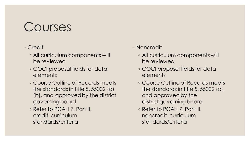## Courses

#### ◦ Credit

- All curriculum components will be reviewed
- COCI proposal fields for data elements
- Course Outline of Records meets the standards in title 5, 55002 (a) (b), and approved by the district governing board
- Refer to PCAH 7, Part II, credit curriculum standards/criteria
- Noncredit
	- All curriculum components will be reviewed
	- COCI proposal fields for data elements
	- Course Outline of Records meets the standards in title 5, 55002 (c), and approved by the district governing board
	- Refer to PCAH 7, Part III, noncredit curriculum standards/criteria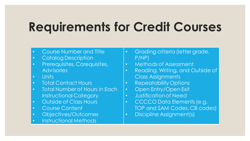## **Requirements for Credit Courses**

- Course Number and Title
- Catalog Description
- Prerequisites, Corequisites, **Advisories**
- Units
- Total Contact Hours
- **Total Number of Hours in Each** Instructional Category
- Outside of Class Hours
- Course Content
- Objectives/Outcomes
- Instructional Methods
- Grading criteria (letter grade, P/NP)
- Methods of Assessment
- Reading, Writing, and Outside of Class Assignments
- Repeatability Options
- Open Entry/Open Exit
- Justification of Need
- CCCCO Data Elements (e.g. TOP and SAM Codes, CB codes)
- Discipline Assignment(s)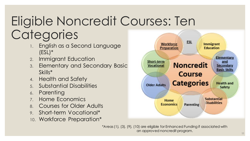# Eligible Noncredit Courses: Ten **Categories**

- 1. English as a Second Language (ESL)\*
- 2. Immigrant Education
- 3. Elementary and Secondary Basic Skills\*
- 4. Health and Safety
- 5. Substantial Disabilities
- 6. Parenting
- 7. Home Economics
- 8. Courses for Older Adults
- 9. Short-term Vocational\*
- 10. Workforce Preparation\*



\*Areas (1), (3), (9), (10) are eligible for Enhanced Funding if associated with an approved noncredit program.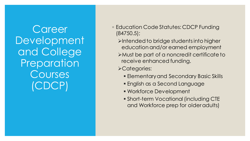**Career** Development and College Preparation Courses (CDCP)

- Education Code Statutes: CDCP Funding (84750.5);
	- ➢Intended to bridge students into higher education and/or earned employment ➢Must be part of a noncredit certificate to receive enhanced funding.
	- ➢Categories:
		- **Elementary and Secondary Basic Skills**
		- **English as a Second Language**
		- **Workforce Development**
		- **Short-term Vocational (including CTE** and Workforce prep for older adults)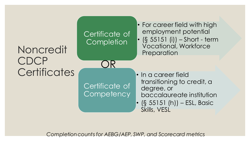

*Completion counts for AEBG/AEP, SWP, and Scorecard metrics*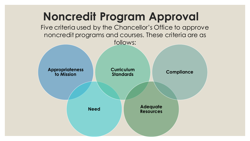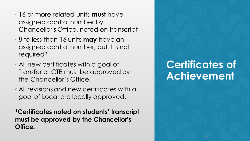- 16 or more related units **must** have assigned control number by Chancellor's Office, noted on transcript
- 8 to less than 16 units **may** have an assigned control number, but it is not required\*
- All new certificates with a goal of Transfer or CTE must be approved by the Chancellor's Office.
- All revisions and new certificates with a goal of Local are locally approved.

**\*Certificates noted on students' transcript must be approved by the Chancellor's Office.**

### **Certificates of Achievement**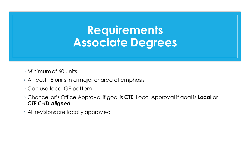## **Requirements Associate Degrees**

◦ Minimum of 60 units

- At least 18 units in a major or area of emphasis
- Can use local GE pattern
- Chancellor's Office Approval if goal is **CTE**. Local Approval if goal is **Local** or *CTE C-ID Aligned*
- All revisions are locally approved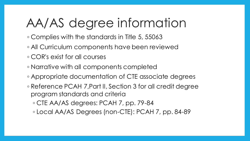## AA/AS degree information

- Complies with the standards in Title 5, 55063
- All Curriculum components have been reviewed
- COR's exist for all courses
- Narrative with all components completed
- Appropriate documentation of CTE associate degrees
- Reference PCAH 7,Part II, Section 3 for all credit degree program standards and criteria
	- CTE AA/AS degrees: PCAH 7, pp. 79-84
	- Local AA/AS Degrees (non-CTE): PCAH 7, pp. 84-89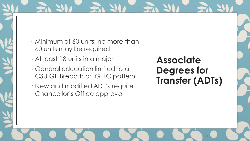- Minimum of 60 units; no more than 60 units may be required
- At least 18 units in a major
- General education limited to a CSU GE Breadth or IGETC pattern
- New and modified ADT's require Chancellor's Office approval

#### **Associate Degrees for Transfer (ADTs)**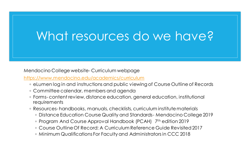## What resources do we have?

Mendocino College website- Curriculum webpage

<https://www.mendocino.edu/academics/curriculum>

- eLumen log in and instructions and public viewing of Course Outline of Records
- Committee calendar, members and agenda
- Forms- content review, distance education, general education, institutional requirements
- Resources- handbooks, manuals, checklists, curriculum institute materials
	- Distance Education Course Quality and Standards- Mendocino College 2019
	- ∘ Program And Course Approval Handbook (PCAH) 7th edition 2019
	- Course Outline Of Record: A Curriculum Reference Guide Revisited 2017
	- Minimum Qualifications For Faculty and Administrators in CCC 2018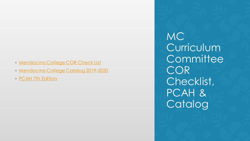- [Mendocino College COR Check List](https://www.mendocino.edu/sites/default/files/docs/Curriculum/mc_curriculum_committee_cor_checklist.pdf)
- [Mendocino College Catalog 2019-2020](https://www.mendocino.edu/sites/default/files/docs/academics/2019-2020_catalog.pdf)
- [PCAH 7th Edition](https://www.mendocino.edu/sites/default/files/docs/Curriculum/pcah_7_ed.-1.pdf)

MC Curriculum **Committee** COR Checklist, PCAH & Catalog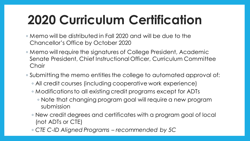# **2020 Curriculum Certification**

- Memo will be distributed in Fall 2020 and will be due to the Chancellor's Office by October 2020
- Memo will require the signatures of College President, Academic Senate President, Chief Instructional Officer, Curriculum Committee Chair
- Submitting the memo entitles the college to automated approval of:
	- All credit courses (including cooperative work experience)
	- Modifications to all existing credit programs except for ADTs
		- Note that changing program goal will require a new program submission
	- New credit degrees and certificates with a program goal of local (not ADTs or CTE)
	- *CTE C-ID Aligned Programs – recommended by 5C*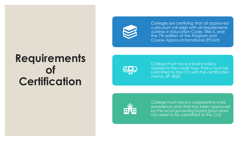### **Requirements of Certification**



Colleges are certifying that all approved curriculum will align with all requirements outlines in Education Code, Title 5, and the 7th edition of the Program and Course Approval Handbook (PCAH)



College must have a board policy related to the credit hour. Policy must be submitted to the CO with the certification memo. BP 4020



College must have a cooperative work experience plan that has been approved by the local governing board (plan does not need to be submitted to the CO)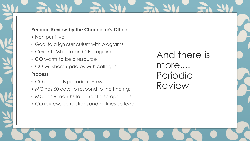#### **Periodic Review by the Chancellor's Office**

- Non punitive
- Goal to align curriculum with programs
- Current LMI data on CTE programs
- CO wants to be a resource
- CO will share updates with colleges

#### **Process**

- CO conducts periodic review
- MC has 60 days to respond to the findings
- MC has 6 months to correct discrepancies
- CO reviews corrections and notifies college

And there is more.... Periodic Review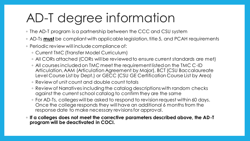# AD-T degree information

- The AD-T program is a partnership between the CCC and CSU system
- AD-Ts **must** be compliant with applicable legislation, title 5, and PCAH requirements
- Periodic review will include compliance of:
	- Current TMC (Transfer Model Curriculum)
	- All CORs attached (CORs will be reviewed to ensure current standards are met)
	- All courses included on TMC meet the requirement listed on the TMC C-ID Articulation, AAM (Articulation Agreement by Major), BCT (CSU Baccalaureate Level Course List by Dept.) or GECC (CSU GE Certification Course List by Area)
	- Review of unit count and double count totals
	- Review of Narratives including the catalog descriptions with random checks against the current school catalog to confirm they are the same
	- For AD-Ts, colleges will be asked to respond to revision request within 60 days. Once the college responds they will have an additional 6 months from the response date to make necessary revisions for approval.
- **If a colleges does not meet the corrective parameters described above, the AD-T program will be deactivated in COCI.**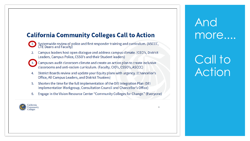#### **California Community Colleges Call to Action**

Systemwide review of police and first responder training and curriculum. (ASCCC,<br>CTE Deans and Faculty)

- Campus leaders host open dialogue and address campus climate. (CEO's, District  $2.$ Leaders, Campus Police, CSSO's and their Student leaders)
- 

Campuses audit classroom climate and create an action plan to create inclusive classrooms and anti-racism curriculum. (Faculty, CIO's, CSSO's, ASCCC)

- District Boards review and update your Equity plans with urgency. (Chancellor's 4. Office, All Campus Leaders, and District Trustees)
- 5. Shorten the time for the full implementation of the DEI Integration Plan (DEI) Implementation Workgroup, Consultation Council and Chancellor's Office)
- Engage in the Vision Resource Center "Community Colleges for Change." (Everyone) 6.



And more....

Call to Action

 $\mathbf{R}$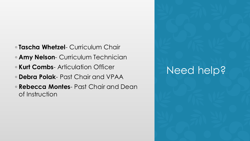- **Tascha Whetzel** Curriculum Chair
- **Amy Nelson** Curriculum Technician
- **Kurt Combs** Articulation Officer
- **Debra Polak** Past Chair and VPAA
- **Rebecca Montes** Past Chair and Dean of Instruction

## Need help?